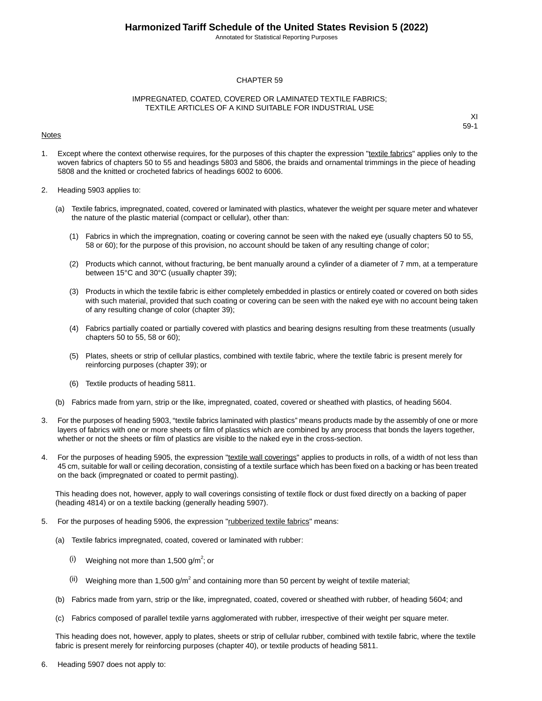Annotated for Statistical Reporting Purposes

#### CHAPTER 59

#### IMPREGNATED, COATED, COVERED OR LAMINATED TEXTILE FABRICS; TEXTILE ARTICLES OF A KIND SUITABLE FOR INDUSTRIAL USE

#### Notes

XI 59-1

- 1. Except where the context otherwise requires, for the purposes of this chapter the expression "textile fabrics" applies only to the woven fabrics of chapters 50 to 55 and headings 5803 and 5806, the braids and ornamental trimmings in the piece of heading 5808 and the knitted or crocheted fabrics of headings 6002 to 6006.
- 2. Heading 5903 applies to:
	- (a) Textile fabrics, impregnated, coated, covered or laminated with plastics, whatever the weight per square meter and whatever the nature of the plastic material (compact or cellular), other than:
		- (1) Fabrics in which the impregnation, coating or covering cannot be seen with the naked eye (usually chapters 50 to 55, 58 or 60); for the purpose of this provision, no account should be taken of any resulting change of color;
		- (2) Products which cannot, without fracturing, be bent manually around a cylinder of a diameter of 7 mm, at a temperature between 15°C and 30°C (usually chapter 39);
		- (3) Products in which the textile fabric is either completely embedded in plastics or entirely coated or covered on both sides with such material, provided that such coating or covering can be seen with the naked eye with no account being taken of any resulting change of color (chapter 39);
		- (4) Fabrics partially coated or partially covered with plastics and bearing designs resulting from these treatments (usually chapters 50 to 55, 58 or 60);
		- (5) Plates, sheets or strip of cellular plastics, combined with textile fabric, where the textile fabric is present merely for reinforcing purposes (chapter 39); or
		- (6) Textile products of heading 5811.
	- (b) Fabrics made from yarn, strip or the like, impregnated, coated, covered or sheathed with plastics, of heading 5604.
- 3. For the purposes of heading 5903, "textile fabrics laminated with plastics" means products made by the assembly of one or more layers of fabrics with one or more sheets or film of plastics which are combined by any process that bonds the layers together, whether or not the sheets or film of plastics are visible to the naked eye in the cross-section.
- 4. For the purposes of heading 5905, the expression "textile wall coverings" applies to products in rolls, of a width of not less than 45 cm, suitable for wall or ceiling decoration, consisting of a textile surface which has been fixed on a backing or has been treated on the back (impregnated or coated to permit pasting).

This heading does not, however, apply to wall coverings consisting of textile flock or dust fixed directly on a backing of paper (heading 4814) or on a textile backing (generally heading 5907).

- 5. For the purposes of heading 5906, the expression "rubberized textile fabrics" means:
	- (a) Textile fabrics impregnated, coated, covered or laminated with rubber:
		- $(i)$  Weighing not more than 1,500 g/m<sup>2</sup>; or
		- (ii) Weighing more than 1,500 g/m<sup>2</sup> and containing more than 50 percent by weight of textile material;
	- (b) Fabrics made from yarn, strip or the like, impregnated, coated, covered or sheathed with rubber, of heading 5604; and
	- (c) Fabrics composed of parallel textile yarns agglomerated with rubber, irrespective of their weight per square meter.

This heading does not, however, apply to plates, sheets or strip of cellular rubber, combined with textile fabric, where the textile fabric is present merely for reinforcing purposes (chapter 40), or textile products of heading 5811.

6. Heading 5907 does not apply to: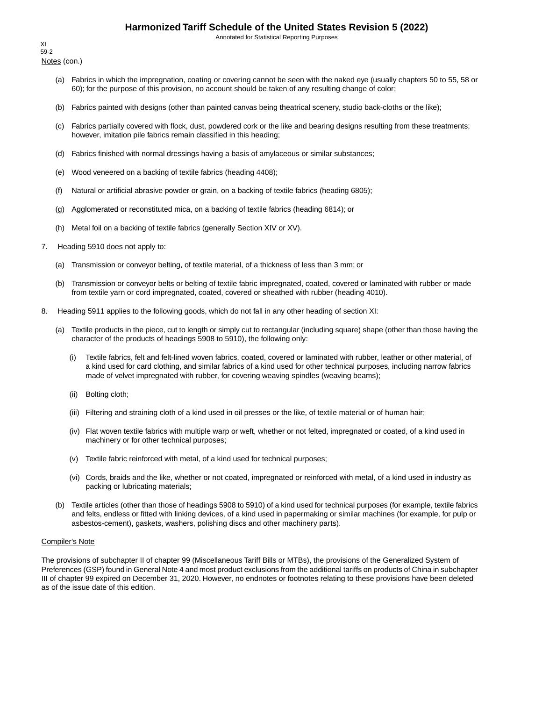Annotated for Statistical Reporting Purposes

Notes (con.) XI 59-2

- (a) Fabrics in which the impregnation, coating or covering cannot be seen with the naked eye (usually chapters 50 to 55, 58 or 60); for the purpose of this provision, no account should be taken of any resulting change of color;
- (b) Fabrics painted with designs (other than painted canvas being theatrical scenery, studio back-cloths or the like);
- (c) Fabrics partially covered with flock, dust, powdered cork or the like and bearing designs resulting from these treatments; however, imitation pile fabrics remain classified in this heading;
- (d) Fabrics finished with normal dressings having a basis of amylaceous or similar substances;
- (e) Wood veneered on a backing of textile fabrics (heading 4408);
- (f) Natural or artificial abrasive powder or grain, on a backing of textile fabrics (heading 6805);
- (g) Agglomerated or reconstituted mica, on a backing of textile fabrics (heading 6814); or
- (h) Metal foil on a backing of textile fabrics (generally Section XIV or XV).
- 7. Heading 5910 does not apply to:
	- (a) Transmission or conveyor belting, of textile material, of a thickness of less than 3 mm; or
	- (b) Transmission or conveyor belts or belting of textile fabric impregnated, coated, covered or laminated with rubber or made from textile yarn or cord impregnated, coated, covered or sheathed with rubber (heading 4010).
- 8. Heading 5911 applies to the following goods, which do not fall in any other heading of section XI:
	- (a) Textile products in the piece, cut to length or simply cut to rectangular (including square) shape (other than those having the character of the products of headings 5908 to 5910), the following only:
		- (i) Textile fabrics, felt and felt-lined woven fabrics, coated, covered or laminated with rubber, leather or other material, of a kind used for card clothing, and similar fabrics of a kind used for other technical purposes, including narrow fabrics made of velvet impregnated with rubber, for covering weaving spindles (weaving beams);
		- (ii) Bolting cloth;
		- (iii) Filtering and straining cloth of a kind used in oil presses or the like, of textile material or of human hair;
		- (iv) Flat woven textile fabrics with multiple warp or weft, whether or not felted, impregnated or coated, of a kind used in machinery or for other technical purposes;
		- (v) Textile fabric reinforced with metal, of a kind used for technical purposes;
		- (vi) Cords, braids and the like, whether or not coated, impregnated or reinforced with metal, of a kind used in industry as packing or lubricating materials;
	- (b) Textile articles (other than those of headings 5908 to 5910) of a kind used for technical purposes (for example, textile fabrics and felts, endless or fitted with linking devices, of a kind used in papermaking or similar machines (for example, for pulp or asbestos-cement), gaskets, washers, polishing discs and other machinery parts).

#### Compiler's Note

The provisions of subchapter II of chapter 99 (Miscellaneous Tariff Bills or MTBs), the provisions of the Generalized System of Preferences (GSP) found in General Note 4 and most product exclusions from the additional tariffs on products of China in subchapter III of chapter 99 expired on December 31, 2020. However, no endnotes or footnotes relating to these provisions have been deleted as of the issue date of this edition.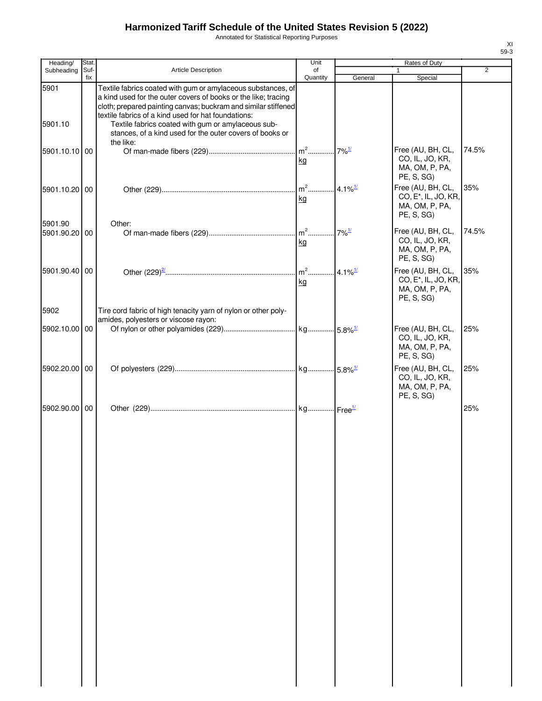Annotated for Statistical Reporting Purposes

| Heading/                 | Stat.       |                                                                                                                                                                                                                                                                                                               | Unit           |                        | Rates of Duty                                                                                                         |                |
|--------------------------|-------------|---------------------------------------------------------------------------------------------------------------------------------------------------------------------------------------------------------------------------------------------------------------------------------------------------------------|----------------|------------------------|-----------------------------------------------------------------------------------------------------------------------|----------------|
| Subheading               | Suf-<br>fix | <b>Article Description</b>                                                                                                                                                                                                                                                                                    | of<br>Quantity | General                | Special                                                                                                               | $\overline{2}$ |
| 5901<br>5901.10          |             | Textile fabrics coated with gum or amylaceous substances, of<br>a kind used for the outer covers of books or the like; tracing<br>cloth; prepared painting canvas; buckram and similar stiffened<br>textile fabrics of a kind used for hat foundations:<br>Textile fabrics coated with gum or amylaceous sub- |                |                        |                                                                                                                       |                |
| 5901.10.10 00            |             | stances, of a kind used for the outer covers of books or<br>the like:                                                                                                                                                                                                                                         | $m2$<br>kg     | $7\%^{\frac{1}{}{}}$   | Free (AU, BH, CL,<br>CO, IL, JO, KR,                                                                                  | 74.5%          |
| 5901.10.20 00            |             |                                                                                                                                                                                                                                                                                                               | $m2$<br>kg     | $.4.1\%$ <sup>1/</sup> | MA, OM, P, PA,<br>PE, S, SG)<br>Free (AU, BH, CL,<br>CO, E <sup>*</sup> , IL, JO, KR,<br>MA, OM, P, PA,<br>PE, S, SG) | 35%            |
| 5901.90<br>5901.90.20 00 |             | Other:                                                                                                                                                                                                                                                                                                        | kg             |                        | Free (AU, BH, CL,<br>CO, IL, JO, KR,<br>MA, OM, P, PA,<br>PE, S, SG)                                                  | 74.5%          |
| 5901.90.40 00            |             |                                                                                                                                                                                                                                                                                                               | kg             |                        | Free (AU, BH, CL,<br>CO, E <sup>*</sup> , IL, JO, KR,<br>MA, OM, P, PA,<br>PE, S, SG)                                 | 35%            |
| 5902                     |             | Tire cord fabric of high tenacity yarn of nylon or other poly-<br>amides, polyesters or viscose rayon:                                                                                                                                                                                                        |                |                        |                                                                                                                       |                |
| 5902.10.00 00            |             |                                                                                                                                                                                                                                                                                                               |                |                        | Free (AU, BH, CL,<br>CO, IL, JO, KR,<br>MA, OM, P, PA,<br>PE, S, SG)                                                  | 25%            |
| 5902.20.00 00            |             |                                                                                                                                                                                                                                                                                                               |                |                        | Free (AU, BH, CL,<br>CO, IL, JO, KR,<br>MA, OM, P, PA,<br>PE, S, SG)                                                  | 25%            |
| 5902.90.00 00            |             |                                                                                                                                                                                                                                                                                                               |                |                        |                                                                                                                       | 25%            |
|                          |             |                                                                                                                                                                                                                                                                                                               |                |                        |                                                                                                                       |                |
|                          |             |                                                                                                                                                                                                                                                                                                               |                |                        |                                                                                                                       |                |
|                          |             |                                                                                                                                                                                                                                                                                                               |                |                        |                                                                                                                       |                |
|                          |             |                                                                                                                                                                                                                                                                                                               |                |                        |                                                                                                                       |                |
|                          |             |                                                                                                                                                                                                                                                                                                               |                |                        |                                                                                                                       |                |
|                          |             |                                                                                                                                                                                                                                                                                                               |                |                        |                                                                                                                       |                |
|                          |             |                                                                                                                                                                                                                                                                                                               |                |                        |                                                                                                                       |                |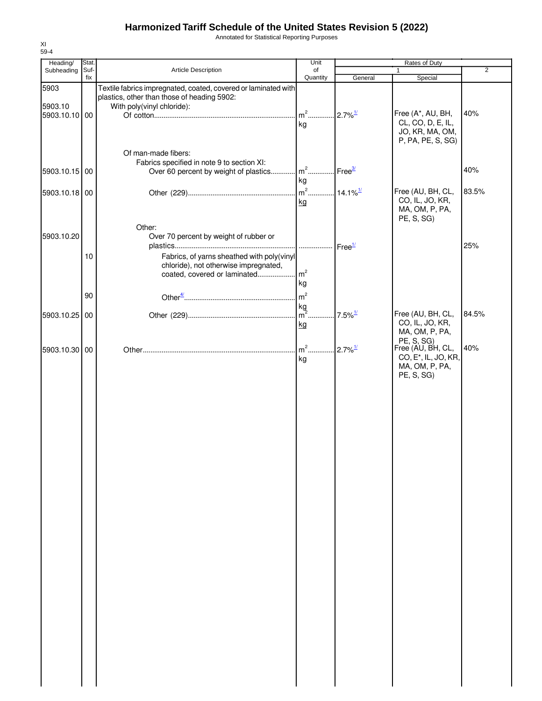Annotated for Statistical Reporting Purposes

| Heading/      | Stat.       |                                                                                                               | Unit                               |                        | Rates of Duty                                                    |                |
|---------------|-------------|---------------------------------------------------------------------------------------------------------------|------------------------------------|------------------------|------------------------------------------------------------------|----------------|
| Subheading    | Suf-<br>fix | Article Description                                                                                           | of<br>Quantity                     | General                | 1<br>Special                                                     | $\overline{2}$ |
| 5903          |             | Textile fabrics impregnated, coated, covered or laminated with<br>plastics, other than those of heading 5902: |                                    |                        |                                                                  |                |
| 5903.10       |             | With poly(vinyl chloride):                                                                                    |                                    |                        |                                                                  |                |
| 5903.10.10 00 |             |                                                                                                               | $m2$                               | $.2.7\%$ <sup>1/</sup> | Free (A*, AU, BH,                                                | 40%            |
|               |             |                                                                                                               | kg                                 |                        | CL, CO, D, E, IL,<br>JO, KR, MA, OM,<br>P, PA, PE, S, SG)        |                |
|               |             | Of man-made fibers:                                                                                           |                                    |                        |                                                                  |                |
| 5903.10.15 00 |             | Fabrics specified in note 9 to section XI:<br>Over 60 percent by weight of plastics                           | m <sup>2</sup> Free <sup>3/</sup>  |                        |                                                                  | 40%            |
|               |             |                                                                                                               | kg                                 |                        |                                                                  |                |
| 5903.10.18 00 |             |                                                                                                               | m <sup>2</sup> 14.1% <sup>1/</sup> |                        | Free (AU, BH, CL,                                                | 83.5%          |
|               |             |                                                                                                               | kg                                 |                        | CO, IL, JO, KR,<br>MA, OM, P, PA,<br>PE, S, SG)                  |                |
|               |             | Other:                                                                                                        |                                    |                        |                                                                  |                |
| 5903.10.20    |             | Over 70 percent by weight of rubber or                                                                        |                                    |                        |                                                                  | 25%            |
|               | 10          | Fabrics, of yarns sheathed with poly(vinyl                                                                    | .                                  | Free <sup>1/</sup>     |                                                                  |                |
|               |             | chloride), not otherwise impregnated,                                                                         |                                    |                        |                                                                  |                |
|               |             | coated, covered or laminated                                                                                  | $\mathsf{m}^2$                     |                        |                                                                  |                |
|               |             |                                                                                                               | kg                                 |                        |                                                                  |                |
|               | 90          |                                                                                                               | m <sup>2</sup>                     |                        |                                                                  |                |
|               |             |                                                                                                               | kg                                 |                        |                                                                  |                |
| 5903.10.25    | 00          |                                                                                                               | $m2$ .                             | $7.5\%$ <sup>1/</sup>  | Free (AU, BH, CL,                                                | 84.5%          |
|               |             |                                                                                                               | kg                                 |                        | CO, IL, JO, KR,<br>MA, OM, P, PA,<br>PE, S, SG)                  |                |
| 5903.10.30    | 00          |                                                                                                               | $m2$ .                             | $2.7\%$ <sup>1/</sup>  | Free (AU, BH, CL,                                                | 40%            |
|               |             |                                                                                                               | kg                                 |                        | CO, E <sup>*</sup> , IL, JO, KR,<br>MA, OM, P, PA,<br>PE, S, SG) |                |
|               |             |                                                                                                               |                                    |                        |                                                                  |                |
|               |             |                                                                                                               |                                    |                        |                                                                  |                |
|               |             |                                                                                                               |                                    |                        |                                                                  |                |
|               |             |                                                                                                               |                                    |                        |                                                                  |                |
|               |             |                                                                                                               |                                    |                        |                                                                  |                |
|               |             |                                                                                                               |                                    |                        |                                                                  |                |
|               |             |                                                                                                               |                                    |                        |                                                                  |                |
|               |             |                                                                                                               |                                    |                        |                                                                  |                |
|               |             |                                                                                                               |                                    |                        |                                                                  |                |
|               |             |                                                                                                               |                                    |                        |                                                                  |                |
|               |             |                                                                                                               |                                    |                        |                                                                  |                |
|               |             |                                                                                                               |                                    |                        |                                                                  |                |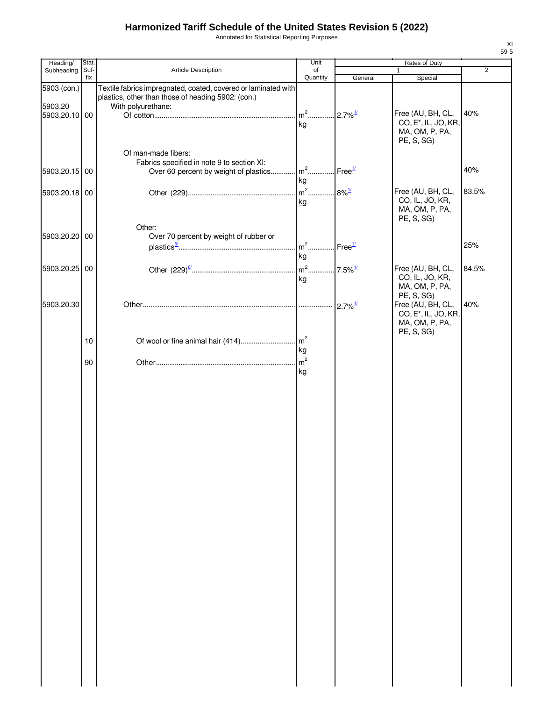Annotated for Statistical Reporting Purposes

| Heading/                 | Stat.       |                                                                                                                      | Unit                 |                                                          | Rates of Duty                                                                         |                |
|--------------------------|-------------|----------------------------------------------------------------------------------------------------------------------|----------------------|----------------------------------------------------------|---------------------------------------------------------------------------------------|----------------|
| Subheading               | Suf-<br>fix | Article Description                                                                                                  | of<br>Quantity       | General                                                  | 1<br>Special                                                                          | $\overline{2}$ |
| 5903 (con.)              |             | Textile fabrics impregnated, coated, covered or laminated with<br>plastics, other than those of heading 5902: (con.) |                      |                                                          |                                                                                       |                |
| 5903.20<br>5903.20.10 00 |             | With polyurethane:                                                                                                   | $m2$<br>kg           | $2.7\%$ <sup>1/</sup>                                    | Free (AU, BH, CL,<br>CO, E <sup>*</sup> , IL, JO, KR,<br>MA, OM, P, PA,<br>PE, S, SG) | 40%            |
| 5903.20.15 00            |             | Of man-made fibers:<br>Fabrics specified in note 9 to section XI:<br>Over 60 percent by weight of plastics           | $m^2$                | $\mathsf{Free}^{\underline{\scriptscriptstyle 1\prime}}$ |                                                                                       | 40%            |
|                          |             |                                                                                                                      | kg                   |                                                          |                                                                                       |                |
| 5903.20.18 00            |             |                                                                                                                      | $m2$<br>kg           | $8\%$ <sup>1/</sup>                                      | Free (AU, BH, CL,<br>CO, IL, JO, KR,<br>MA, OM, P, PA,<br>PE, S, SG)                  | 83.5%          |
| 5903.20.20 00            |             | Other:<br>Over 70 percent by weight of rubber or                                                                     | $m2$                 | Free <sup>1/</sup>                                       |                                                                                       | 25%            |
|                          |             |                                                                                                                      | kg                   |                                                          |                                                                                       |                |
| 5903.20.25 00            |             |                                                                                                                      | $m2$ .               | $7.5\%$ <sup>1/</sup>                                    | Free (AU, BH, CL,<br>CO, IL, JO, KR,                                                  | 84.5%          |
|                          |             |                                                                                                                      | kg                   |                                                          | MA, OM, P, PA,                                                                        |                |
| 5903.20.30               |             |                                                                                                                      |                      | $2.7\%$ <sup>1/</sup>                                    | PE, S, SG)<br>Free (AU, BH, CL,<br>CO, E <sup>*</sup> , IL, JO, KR,                   | 40%            |
|                          |             |                                                                                                                      |                      |                                                          | MA, OM, P, PA,<br>PE, S, SG)                                                          |                |
|                          | 10          |                                                                                                                      |                      |                                                          |                                                                                       |                |
|                          |             |                                                                                                                      | kg<br>m <sup>2</sup> |                                                          |                                                                                       |                |
|                          | 90          |                                                                                                                      | kg                   |                                                          |                                                                                       |                |
|                          |             |                                                                                                                      |                      |                                                          |                                                                                       |                |
|                          |             |                                                                                                                      |                      |                                                          |                                                                                       |                |
|                          |             |                                                                                                                      |                      |                                                          |                                                                                       |                |
|                          |             |                                                                                                                      |                      |                                                          |                                                                                       |                |
|                          |             |                                                                                                                      |                      |                                                          |                                                                                       |                |
|                          |             |                                                                                                                      |                      |                                                          |                                                                                       |                |
|                          |             |                                                                                                                      |                      |                                                          |                                                                                       |                |
|                          |             |                                                                                                                      |                      |                                                          |                                                                                       |                |
|                          |             |                                                                                                                      |                      |                                                          |                                                                                       |                |
|                          |             |                                                                                                                      |                      |                                                          |                                                                                       |                |
|                          |             |                                                                                                                      |                      |                                                          |                                                                                       |                |
|                          |             |                                                                                                                      |                      |                                                          |                                                                                       |                |
|                          |             |                                                                                                                      |                      |                                                          |                                                                                       |                |
|                          |             |                                                                                                                      |                      |                                                          |                                                                                       |                |
|                          |             |                                                                                                                      |                      |                                                          |                                                                                       |                |
|                          |             |                                                                                                                      |                      |                                                          |                                                                                       |                |
|                          |             |                                                                                                                      |                      |                                                          |                                                                                       |                |
|                          |             |                                                                                                                      |                      |                                                          |                                                                                       |                |
|                          |             |                                                                                                                      |                      |                                                          |                                                                                       |                |
|                          |             |                                                                                                                      |                      |                                                          |                                                                                       |                |
|                          |             |                                                                                                                      |                      |                                                          |                                                                                       |                |
|                          |             |                                                                                                                      |                      |                                                          |                                                                                       |                |
|                          |             |                                                                                                                      |                      |                                                          |                                                                                       |                |
|                          |             |                                                                                                                      |                      |                                                          |                                                                                       |                |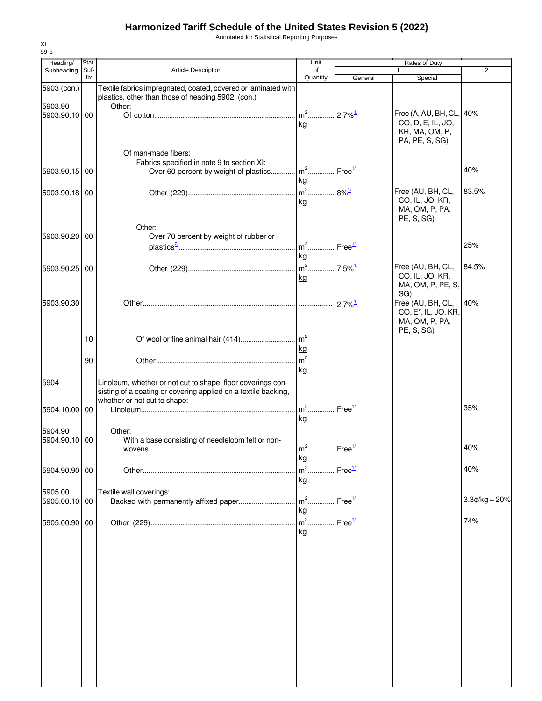Annotated for Statistical Reporting Purposes

| Heading/        | Stat. |                                                                         | Unit                              |                       | Rates of Duty                    |                 |
|-----------------|-------|-------------------------------------------------------------------------|-----------------------------------|-----------------------|----------------------------------|-----------------|
| Subheading      | Suf-  | Article Description                                                     | of                                |                       | 1                                | $\overline{2}$  |
|                 | fix   |                                                                         | Quantity                          | General               | Special                          |                 |
| 5903 (con.)     |       | Textile fabrics impregnated, coated, covered or laminated with          |                                   |                       |                                  |                 |
| 5903.90         |       | plastics, other than those of heading 5902: (con.)<br>Other:            |                                   |                       |                                  |                 |
| 5903.90.10 00   |       |                                                                         |                                   |                       | Free (A, AU, BH, CL, 40%         |                 |
|                 |       |                                                                         | kg                                |                       | CO, D, E, IL, JO,                |                 |
|                 |       |                                                                         |                                   |                       | KR, MA, OM, P,                   |                 |
|                 |       |                                                                         |                                   |                       | PA, PE, S, SG)                   |                 |
|                 |       | Of man-made fibers:                                                     |                                   |                       |                                  |                 |
|                 |       | Fabrics specified in note 9 to section XI:                              |                                   |                       |                                  |                 |
| 5903.90.15   00 |       | Over 60 percent by weight of plastics m <sup>2</sup> Free <sup>1/</sup> |                                   |                       |                                  | 40%             |
|                 |       |                                                                         | kg                                |                       |                                  |                 |
| 5903.90.18 00   |       |                                                                         | m <sup>2</sup> 8% <sup>1/</sup>   |                       | Free (AU, BH, CL,                | 83.5%           |
|                 |       |                                                                         | kg                                |                       | CO, IL, JO, KR,                  |                 |
|                 |       |                                                                         |                                   |                       | MA, OM, P, PA,                   |                 |
|                 |       |                                                                         |                                   |                       | PE, S, SG)                       |                 |
|                 |       | Other:                                                                  |                                   |                       |                                  |                 |
| 5903.90.20 00   |       | Over 70 percent by weight of rubber or                                  |                                   |                       |                                  |                 |
|                 |       |                                                                         | $m^2$ Free <sup>1/</sup>          |                       |                                  | 25%             |
|                 |       |                                                                         | kg                                |                       |                                  |                 |
| 5903.90.25 00   |       |                                                                         |                                   |                       | Free (AU, BH, CL,                | 84.5%           |
|                 |       |                                                                         | kg                                |                       | CO, IL, JO, KR,                  |                 |
|                 |       |                                                                         |                                   |                       | MA, OM, P, PE, S,                |                 |
| 5903.90.30      |       |                                                                         |                                   |                       | SG)<br>Free (AU, BH, CL,         | 40%             |
|                 |       |                                                                         |                                   | $2.7\%$ <sup>1/</sup> | CO, E <sup>*</sup> , IL, JO, KR, |                 |
|                 |       |                                                                         |                                   |                       | MA, OM, P, PA,                   |                 |
|                 |       |                                                                         |                                   |                       | PE, S, SG)                       |                 |
|                 | 10    | Of wool or fine animal hair (414)                                       | m <sup>2</sup>                    |                       |                                  |                 |
|                 |       |                                                                         | kg                                |                       |                                  |                 |
|                 | 90    |                                                                         | m <sup>2</sup>                    |                       |                                  |                 |
|                 |       |                                                                         | kg                                |                       |                                  |                 |
| 5904            |       | Linoleum, whether or not cut to shape; floor coverings con-             |                                   |                       |                                  |                 |
|                 |       | sisting of a coating or covering applied on a textile backing,          |                                   |                       |                                  |                 |
|                 |       | whether or not cut to shape:                                            |                                   |                       |                                  |                 |
| 5904.10.00      | 00    |                                                                         | $m2$                              | Free <sup>1/</sup>    |                                  | 35%             |
|                 |       |                                                                         | kg                                |                       |                                  |                 |
| 5904.90         |       | Other:                                                                  |                                   |                       |                                  |                 |
| 5904.90.10 00   |       | With a base consisting of needleloom felt or non-                       |                                   |                       |                                  |                 |
|                 |       |                                                                         | m <sup>2</sup> Free <sup>1/</sup> |                       |                                  | 40%             |
|                 |       |                                                                         | kg                                |                       |                                  |                 |
| 5904.90.90 00   |       |                                                                         | m <sup>2</sup>                    | Free <sup>1/</sup>    |                                  | 40%             |
|                 |       |                                                                         | kg                                |                       |                                  |                 |
|                 |       |                                                                         |                                   |                       |                                  |                 |
| 5905.00         | 00    | Textile wall coverings:<br>Backed with permanently affixed paper        | $m2$ .                            | Free <sup>1/</sup>    |                                  | $3.3¢/kg + 20%$ |
| 5905.00.10      |       |                                                                         | kg                                |                       |                                  |                 |
|                 |       |                                                                         | $m2$ .                            |                       |                                  |                 |
| 5905.00.90      | 00    |                                                                         |                                   | Free <sup>1/</sup>    |                                  | 74%             |
|                 |       |                                                                         | <u>kg</u>                         |                       |                                  |                 |
|                 |       |                                                                         |                                   |                       |                                  |                 |
|                 |       |                                                                         |                                   |                       |                                  |                 |
|                 |       |                                                                         |                                   |                       |                                  |                 |
|                 |       |                                                                         |                                   |                       |                                  |                 |
|                 |       |                                                                         |                                   |                       |                                  |                 |
|                 |       |                                                                         |                                   |                       |                                  |                 |
|                 |       |                                                                         |                                   |                       |                                  |                 |
|                 |       |                                                                         |                                   |                       |                                  |                 |
|                 |       |                                                                         |                                   |                       |                                  |                 |
|                 |       |                                                                         |                                   |                       |                                  |                 |
|                 |       |                                                                         |                                   |                       |                                  |                 |
|                 |       |                                                                         |                                   |                       |                                  |                 |
|                 |       |                                                                         |                                   |                       |                                  |                 |
|                 |       |                                                                         |                                   |                       |                                  |                 |
|                 |       |                                                                         |                                   |                       |                                  |                 |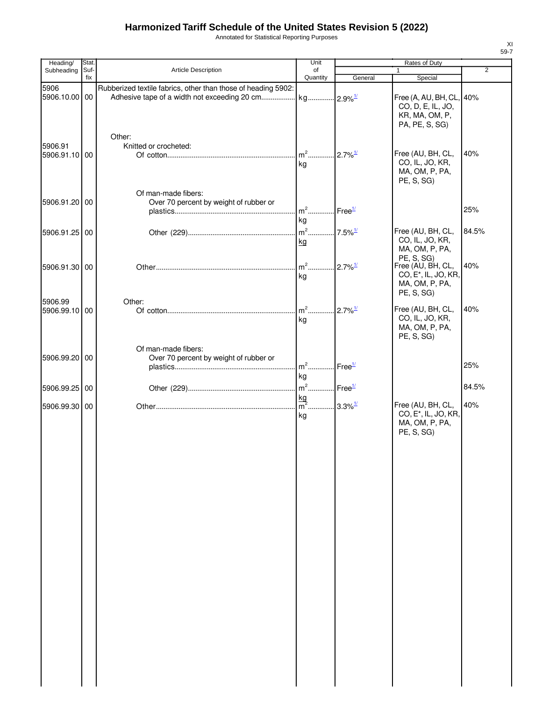Annotated for Statistical Reporting Purposes

| Heading/              | Stat. |                                                               | Unit                           |                                                          | Rates of Duty                                                                     |                |
|-----------------------|-------|---------------------------------------------------------------|--------------------------------|----------------------------------------------------------|-----------------------------------------------------------------------------------|----------------|
| Subheading            | Suf-  | <b>Article Description</b>                                    | of                             |                                                          | 1                                                                                 | $\overline{2}$ |
|                       | fix   |                                                               | Quantity                       | General                                                  | Special                                                                           |                |
| 5906<br>5906.10.00 00 |       | Rubberized textile fabrics, other than those of heading 5902: |                                |                                                          | Free (A, AU, BH, CL, 40%<br>CO, D, E, IL, JO,<br>KR, MA, OM, P,<br>PA, PE, S, SG) |                |
|                       |       | Other:                                                        |                                |                                                          |                                                                                   |                |
| 5906.91               |       | Knitted or crocheted:                                         | $m2$                           | $2.7\%$ <sup>1/</sup>                                    | Free (AU, BH, CL,                                                                 | 40%            |
| 5906.91.10 00         |       | Of man-made fibers:                                           | kg                             |                                                          | CO, IL, JO, KR,<br>MA, OM, P, PA,<br>PE, S, SG)                                   |                |
| 5906.91.20 00         |       | Over 70 percent by weight of rubber or                        | $m^2$                          | $\Gamma$ Free $\frac{1}{2}$                              |                                                                                   | 25%            |
|                       |       |                                                               | kg                             |                                                          |                                                                                   |                |
|                       |       |                                                               | $m2$ .                         | $.7.5\%$ <sup>1/</sup>                                   | Free (AU, BH, CL,                                                                 | 84.5%          |
| 5906.91.25 00         |       |                                                               |                                |                                                          | CO, IL, JO, KR,                                                                   |                |
|                       |       |                                                               | kg                             |                                                          | MA, OM, P, PA,                                                                    |                |
|                       |       |                                                               |                                |                                                          | PE, S, SG)                                                                        |                |
| 5906.91.30 00         |       |                                                               | $m2$                           | $2.7\%$ <sup>1/</sup>                                    | Free (AU, BH, CL,                                                                 | 40%            |
|                       |       |                                                               | kg                             |                                                          | CO, E <sup>*</sup> , IL, JO, KR,                                                  |                |
|                       |       |                                                               |                                |                                                          | MA, OM, P, PA,<br>PE, S, SG)                                                      |                |
| 5906.99               |       | Other:                                                        | $m^2$                          | $2.7\%$ <sup>1/</sup>                                    | Free (AU, BH, CL,                                                                 | 40%            |
| 5906.99.10 00         |       |                                                               |                                |                                                          | CO, IL, JO, KR,                                                                   |                |
|                       |       | Of man-made fibers:                                           | kg                             |                                                          | MA, OM, P, PA,<br>PE, S, SG)                                                      |                |
| 5906.99.20 00         |       | Over 70 percent by weight of rubber or                        |                                |                                                          |                                                                                   |                |
|                       |       |                                                               | $m^2$                          | Free <sup>1/</sup>                                       |                                                                                   | 25%            |
|                       |       |                                                               | kg                             |                                                          |                                                                                   |                |
|                       |       |                                                               |                                |                                                          |                                                                                   |                |
| 5906.99.25 00         |       |                                                               | $m2$                           | $\mathsf{Free}^{\underline{\scriptscriptstyle 1\prime}}$ |                                                                                   | 84.5%          |
|                       |       |                                                               | $\frac{\text{kg}}{\text{m}^2}$ | $3.3\%$ <sup>1/</sup>                                    | Free (AU, BH, CL,                                                                 | 40%            |
| 5906.99.30 00         |       |                                                               | kg                             |                                                          | CO, E <sup>*</sup> , IL, JO, KR,<br>MA, OM, P, PA,<br>PE, S, SG)                  |                |
|                       |       |                                                               |                                |                                                          |                                                                                   |                |
|                       |       |                                                               |                                |                                                          |                                                                                   |                |
|                       |       |                                                               |                                |                                                          |                                                                                   |                |
|                       |       |                                                               |                                |                                                          |                                                                                   |                |
|                       |       |                                                               |                                |                                                          |                                                                                   |                |
|                       |       |                                                               |                                |                                                          |                                                                                   |                |
|                       |       |                                                               |                                |                                                          |                                                                                   |                |
|                       |       |                                                               |                                |                                                          |                                                                                   |                |
|                       |       |                                                               |                                |                                                          |                                                                                   |                |
|                       |       |                                                               |                                |                                                          |                                                                                   |                |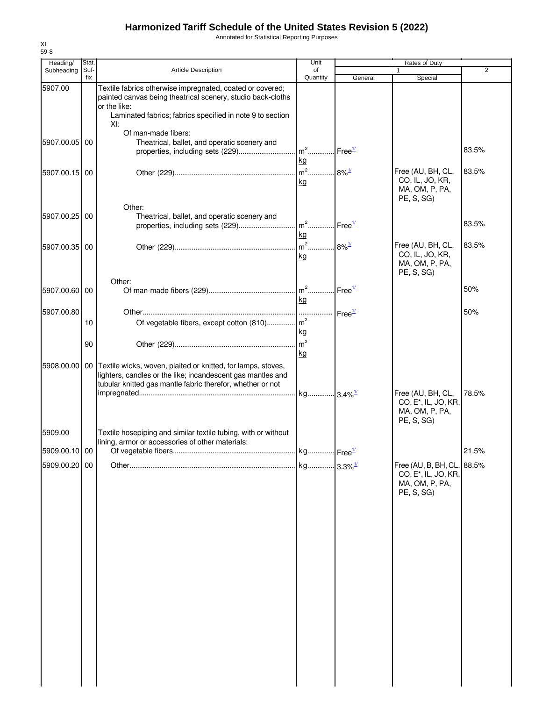Annotated for Statistical Reporting Purposes

| Heading/                 | Stat.       |                                                                                                                                                                                                              | Unit           | <b>Rates of Duty</b>            |                                                                                                |                |
|--------------------------|-------------|--------------------------------------------------------------------------------------------------------------------------------------------------------------------------------------------------------------|----------------|---------------------------------|------------------------------------------------------------------------------------------------|----------------|
| Subheading               | Suf-<br>fix | Article Description                                                                                                                                                                                          | of<br>Quantity | General                         | 1<br>Special                                                                                   | $\overline{2}$ |
| 5907.00                  |             | Textile fabrics otherwise impregnated, coated or covered;<br>painted canvas being theatrical scenery, studio back-cloths<br>or the like:<br>Laminated fabrics; fabrics specified in note 9 to section<br>XI: |                |                                 |                                                                                                |                |
| 5907.00.05 00            |             | Of man-made fibers:<br>Theatrical, ballet, and operatic scenery and                                                                                                                                          | kg             |                                 |                                                                                                | 83.5%          |
| 5907.00.15 00            |             |                                                                                                                                                                                                              | kg             |                                 | Free (AU, BH, CL,<br>CO, IL, JO, KR,<br>MA, OM, P, PA,<br>PE, S, SG)                           | 83.5%          |
| 5907.00.25 00            |             | Other:<br>Theatrical, ballet, and operatic scenery and                                                                                                                                                       | kg             |                                 |                                                                                                | 83.5%          |
| 5907.00.35 00            |             |                                                                                                                                                                                                              | kg             |                                 | Free (AU, BH, CL,<br>CO, IL, JO, KR,<br>MA, OM, P, PA,<br>PE, S, SG)                           | 83.5%          |
| 5907.00.60 00            |             | Other:                                                                                                                                                                                                       | kg             | $\mathsf{I}$ Free $\frac{1}{2}$ |                                                                                                | 50%            |
| 5907.00.80               | 10          | Of vegetable fibers, except cotton (810) m <sup>2</sup>                                                                                                                                                      | kg             |                                 |                                                                                                | 50%            |
|                          | 90          |                                                                                                                                                                                                              | kg             |                                 |                                                                                                |                |
|                          |             | 5908.00.00   00   Textile wicks, woven, plaited or knitted, for lamps, stoves,<br>lighters, candles or the like; incandescent gas mantles and<br>tubular knitted gas mantle fabric therefor, whether or not  |                |                                 |                                                                                                |                |
|                          |             |                                                                                                                                                                                                              |                |                                 | Free (AU, BH, CL,<br>CO, E <sup>*</sup> , IL, JO, KR,<br>MA, OM, P, PA,<br>PE, S, SG)          | 78.5%          |
| 5909.00<br>5909.00.10 00 |             | Textile hosepiping and similar textile tubing, with or without<br>lining, armor or accessories of other materials:                                                                                           |                |                                 |                                                                                                | 21.5%          |
| 5909.00.20 00            |             |                                                                                                                                                                                                              |                |                                 | Free (AU, B, BH, CL, 88.5%<br>CO, E <sup>*</sup> , IL, JO, KR,<br>MA, OM, P, PA,<br>PE, S, SG) |                |
|                          |             |                                                                                                                                                                                                              |                |                                 |                                                                                                |                |
|                          |             |                                                                                                                                                                                                              |                |                                 |                                                                                                |                |
|                          |             |                                                                                                                                                                                                              |                |                                 |                                                                                                |                |
|                          |             |                                                                                                                                                                                                              |                |                                 |                                                                                                |                |
|                          |             |                                                                                                                                                                                                              |                |                                 |                                                                                                |                |
|                          |             |                                                                                                                                                                                                              |                |                                 |                                                                                                |                |
|                          |             |                                                                                                                                                                                                              |                |                                 |                                                                                                |                |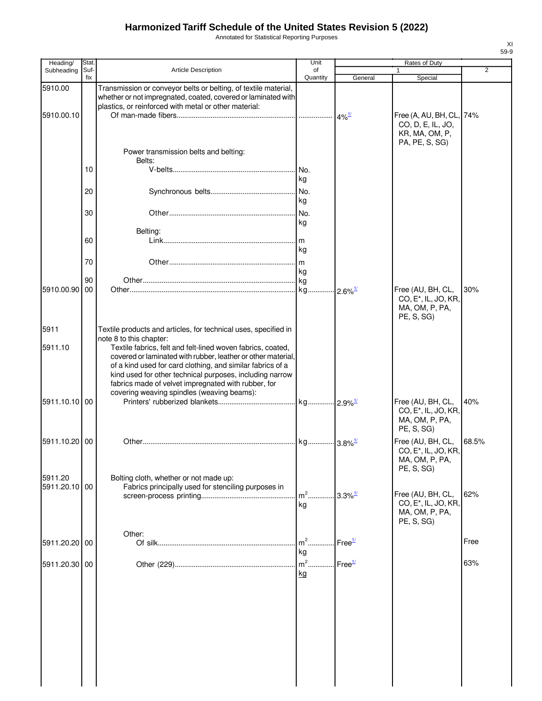Annotated for Statistical Reporting Purposes

| Heading/                 | <b>Stat</b> |                                                                                                                                                                                                                                                                                                                                                                                       | Unit           |                       | Rates of Duty                                                                         |                |
|--------------------------|-------------|---------------------------------------------------------------------------------------------------------------------------------------------------------------------------------------------------------------------------------------------------------------------------------------------------------------------------------------------------------------------------------------|----------------|-----------------------|---------------------------------------------------------------------------------------|----------------|
| Subheading               | Suf-<br>fix | <b>Article Description</b>                                                                                                                                                                                                                                                                                                                                                            | of<br>Quantity |                       | 1                                                                                     | $\overline{2}$ |
| 5910.00                  |             | Transmission or conveyor belts or belting, of textile material,<br>whether or not impregnated, coated, covered or laminated with                                                                                                                                                                                                                                                      |                | General               | Special                                                                               |                |
| 5910.00.10               |             | plastics, or reinforced with metal or other material:                                                                                                                                                                                                                                                                                                                                 |                | $4\%$ <sup>1/</sup>   | Free (A, AU, BH, CL, 74%<br>CO, D, E, IL, JO,<br>KR, MA, OM, P,                       |                |
|                          |             | Power transmission belts and belting:<br>Belts:                                                                                                                                                                                                                                                                                                                                       |                |                       | PA, PE, S, SG)                                                                        |                |
|                          | 10          |                                                                                                                                                                                                                                                                                                                                                                                       | . No.<br>kg    |                       |                                                                                       |                |
|                          | 20          |                                                                                                                                                                                                                                                                                                                                                                                       | kg             |                       |                                                                                       |                |
|                          | 30          |                                                                                                                                                                                                                                                                                                                                                                                       | kg             |                       |                                                                                       |                |
|                          | 60          | Belting:                                                                                                                                                                                                                                                                                                                                                                              | kg             |                       |                                                                                       |                |
|                          | 70          |                                                                                                                                                                                                                                                                                                                                                                                       | ka             |                       |                                                                                       |                |
| 5910.00.90               | 90<br>00    |                                                                                                                                                                                                                                                                                                                                                                                       |                | $2.6\%$ <sup>1/</sup> | Free (AU, BH, CL,<br>CO, E <sup>*</sup> , IL, JO, KR,<br>MA, OM, P, PA,               | 30%            |
| 5911                     |             | Textile products and articles, for technical uses, specified in                                                                                                                                                                                                                                                                                                                       |                |                       | PE, S, SG)                                                                            |                |
| 5911.10                  |             | note 8 to this chapter:<br>Textile fabrics, felt and felt-lined woven fabrics, coated,<br>covered or laminated with rubber, leather or other material,<br>of a kind used for card clothing, and similar fabrics of a<br>kind used for other technical purposes, including narrow<br>fabrics made of velvet impregnated with rubber, for<br>covering weaving spindles (weaving beams): |                |                       |                                                                                       |                |
| 5911.10.10 00            |             |                                                                                                                                                                                                                                                                                                                                                                                       |                |                       | Free (AU, BH, CL,<br>CO, E <sup>*</sup> , IL, JO, KR,<br>MA, OM, P, PA,<br>PE, S, SG) | 40%            |
| 5911.10.20 00            |             |                                                                                                                                                                                                                                                                                                                                                                                       |                |                       | Free (AU, BH, CL,<br>CO, E <sup>*</sup> , IL, JO, KR,<br>MA, OM, P, PA,<br>PE, S, SG) | 68.5%          |
| 5911.20<br>5911.20.10 00 |             | Bolting cloth, whether or not made up:<br>Fabrics principally used for stenciling purposes in                                                                                                                                                                                                                                                                                         | $m2$<br>kg     | $3.3\%$ <sup>1/</sup> | Free (AU, BH, CL,<br>CO, E <sup>*</sup> , IL, JO, KR,                                 | 62%            |
|                          |             |                                                                                                                                                                                                                                                                                                                                                                                       |                |                       | MA, OM, P, PA,<br>PE, S, SG)                                                          |                |
| 5911.20.20 00            |             | Other:                                                                                                                                                                                                                                                                                                                                                                                | $m2$ .<br>kg   | Free <sup>1/</sup>    |                                                                                       | Free           |
| 5911.20.30 00            |             |                                                                                                                                                                                                                                                                                                                                                                                       | $m2$ .<br>kg   | Free $\frac{1}{2}$    |                                                                                       | 63%            |
|                          |             |                                                                                                                                                                                                                                                                                                                                                                                       |                |                       |                                                                                       |                |
|                          |             |                                                                                                                                                                                                                                                                                                                                                                                       |                |                       |                                                                                       |                |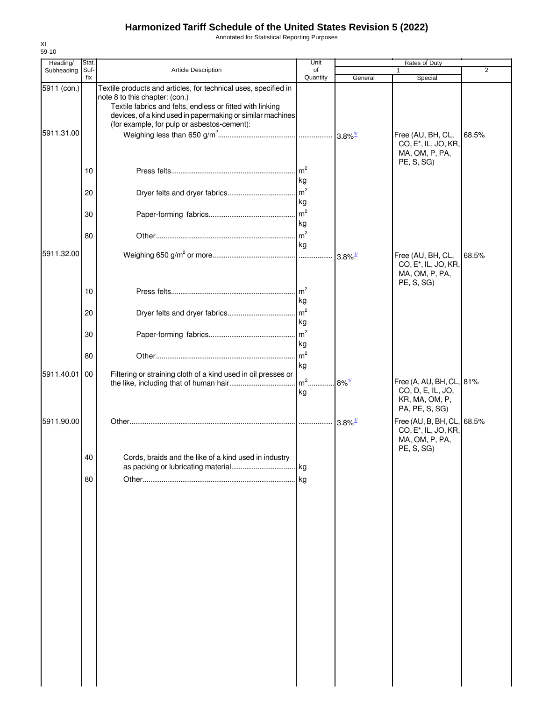Annotated for Statistical Reporting Purposes

| Heading/                  | Stat.                |                                                                                                                                                                                                                                                                             | Unit                                                             | Rates of Duty       |                                                                                                  |                |  |
|---------------------------|----------------------|-----------------------------------------------------------------------------------------------------------------------------------------------------------------------------------------------------------------------------------------------------------------------------|------------------------------------------------------------------|---------------------|--------------------------------------------------------------------------------------------------|----------------|--|
| Subheading                | Suf-                 | Article Description                                                                                                                                                                                                                                                         | of                                                               |                     |                                                                                                  | $\overline{2}$ |  |
| 5911 (con.)<br>5911.31.00 | fix                  | Textile products and articles, for technical uses, specified in<br>note 8 to this chapter: (con.)<br>Textile fabrics and felts, endless or fitted with linking<br>devices, of a kind used in papermaking or similar machines<br>(for example, for pulp or asbestos-cement): | Quantity                                                         | General             | Special<br>Free (AU, BH, CL,<br>CO, E <sup>*</sup> , IL, JO, KR,<br>MA, OM, P, PA,<br>PE, S, SG) | 68.5%          |  |
|                           | 10<br>20<br>30<br>80 |                                                                                                                                                                                                                                                                             | kg<br>kg<br>kg<br>kg                                             |                     |                                                                                                  |                |  |
| 5911.32.00                | 10<br>20<br>30       |                                                                                                                                                                                                                                                                             | $\mathsf{Im}^2$<br>kg<br>$\mathsf{Im}^2$<br>kg<br>m <sup>2</sup> |                     | Free (AU, BH, CL,<br>CO, E <sup>*</sup> , IL, JO, KR,<br>MA, OM, P, PA,<br>PE, S, SG)            | 68.5%          |  |
| 5911.40.01                | 80<br>00             | Filtering or straining cloth of a kind used in oil presses or                                                                                                                                                                                                               | kg<br>m <sup>2</sup><br>kg<br>$m2$<br>kg                         | $8\%$ <sup>1/</sup> | Free (A, AU, BH, CL, 81%<br>CO, D, E, IL, JO,<br>KR, MA, OM, P,<br>PA, PE, S, SG)                |                |  |
| 5911.90.00                | 40<br>80             | Cords, braids and the like of a kind used in industry                                                                                                                                                                                                                       |                                                                  |                     | Free (AU, B, BH, CL, 68.5%<br>CO, E <sup>*</sup> , IL, JO, KR,<br>MA, OM, P, PA,<br>PE, S, SG)   |                |  |
|                           |                      |                                                                                                                                                                                                                                                                             |                                                                  |                     |                                                                                                  |                |  |